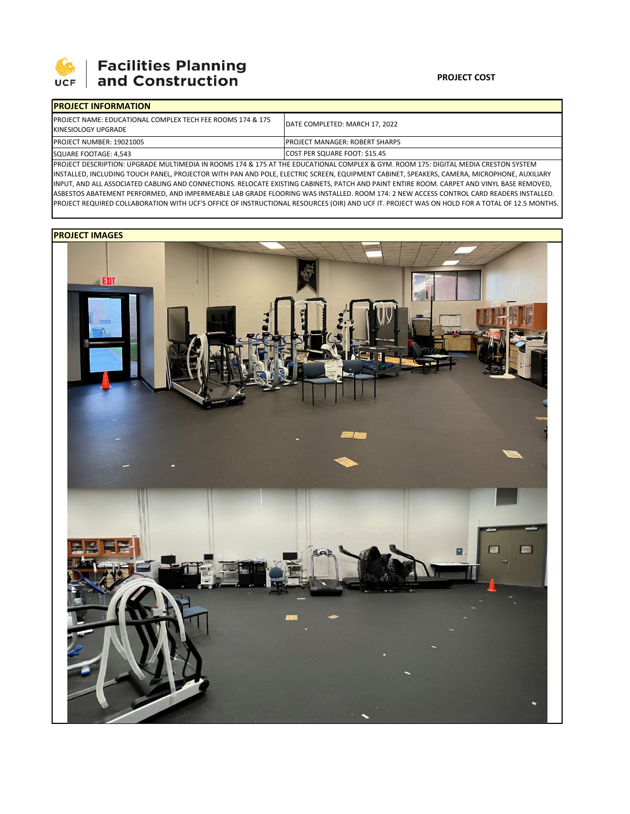

## 

| <b>IPROJECT INFORMATION</b>                                                                   |                                                                                                                                    |  |  |  |
|-----------------------------------------------------------------------------------------------|------------------------------------------------------------------------------------------------------------------------------------|--|--|--|
| <b>IPROJECT NAME: EDUCATIONAL COMPLEX TECH FEE ROOMS 174 &amp; 175</b><br>KINESIOLOGY UPGRADE | DATE COMPLETED: MARCH 17, 2022                                                                                                     |  |  |  |
| <b>PROJECT NUMBER: 19021005</b>                                                               | <b>IPROJECT MANAGER: ROBERT SHARPS</b>                                                                                             |  |  |  |
| SQUARE FOOTAGE: 4,543                                                                         | COST PER SQUARE FOOT: \$15.45                                                                                                      |  |  |  |
|                                                                                               | DROIFCE BECONDEION, URCBARE MULTIMERIA IN BOOMGATA 0.47E AT TUE ERUCATIONAL COMBLEV 0. CVAA BOOMATE, BICITAL MERIA CRECTON CVCTEMA |  |  |  |

PROJECT DESCRIPTION: UPGRADE MULTIMEDIA IN ROOMS 174 & 175 AT THE EDUCATIONAL COMPLEX & GYM. ROOM 175: DIGITAL MEDIA CRESTON SYSTEM INSTALLED, INCLUDING TOUCH PANEL, PROJECTOR WITH PAN AND POLE, ELECTRIC SCREEN, EQUIPMENT CABINET, SPEAKERS, CAMERA, MICROPHONE, AUXILIARY INPUT, AND ALL ASSOCIATED CABLING AND CONNECTIONS. RELOCATE EXISTING CABINETS, PATCH AND PAINT ENTIRE ROOM. CARPET AND VINYL BASE REMOVED, ASBESTOS ABATEMENT PERFORMED, AND IMPERMEABLE LAB GRADE FLOORING WAS INSTALLED. ROOM 174: 2 NEW ACCESS CONTROL CARD READERS INSTALLED. PROJECT REQUIRED COLLABORATION WITH UCF'S OFFICE OF INSTRUCTIONAL RESOURCES (OIR) AND UCF IT. PROJECT WAS ON HOLD FOR A TOTAL OF 12.5 MONTHS.

## **PROJECT IMAGES**